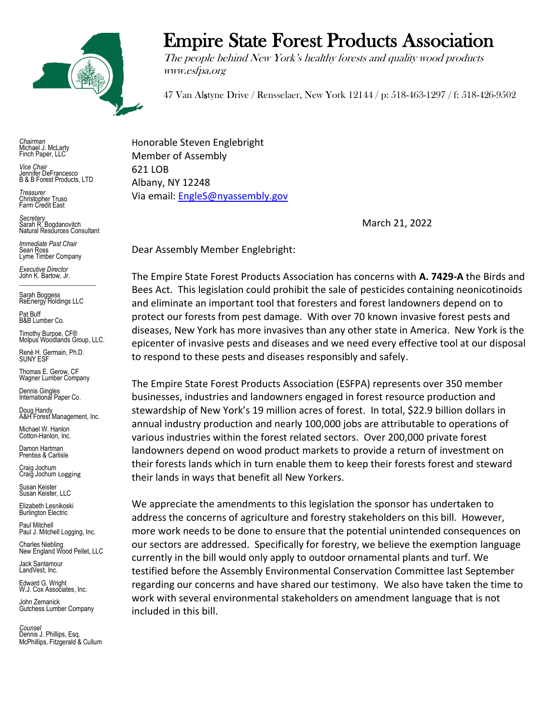

Empire State Forest Products Association

The people behind New York's healthy forests and quality wood products www.esfpa.org

47 Van Alstyne Drive / Rensselaer, New York 12144 / p: 518-463-1297 / f: 518-426-9502

*Chairman* Michael J. McLarty Finch Paper, LLC

*Vice Chair* Jennifer DeFrancesco B & B Forest Products, LTD

*Treasurer* Christopher Truso Farm Credit East

*Secretary* Sarah R. Bogdanovitch Natural Resources Consultant

*Immediate Past Chair* Sean Ross Lyme Timber Company

*Executive Director* John K. Bartow, Jr.  $\mathcal{L}_\text{max}$  , we can also the set of the set of the set of the set of the set of the set of the set of the set of the set of the set of the set of the set of the set of the set of the set of the set of the set of the se

Sarah Boggess ReEnergy Holdings LLC

Pat Buff B&B Lumber Co.

Timothy Burpoe, CF® Molpus Woodlands Group, LLC.

Renè H. Germain, Ph.D. SUNY ESF

Thomas E. Gerow, CF Wagner Lumber Company

Dennis Gingles International Paper Co.

Doug Handy A&H Forest Management, Inc.

Michael W. Hanlon Cotton-Hanlon, Inc.

Damon Hartman Prentiss & Carlisle

Craig Jochum Craig Jochum Logging

Susan Keister Susan Keister, LLC

Elizabeth Lesnikoski **Burlington Electric** 

Paul Mitchell Paul J. Mitchell Logging, Inc.

Charles Niebling New England Wood Pellet, LLC

Jack Santamour LandVest, Inc.

Edward G. Wright W.J. Cox Associates, Inc.

John Zemanick Gutchess Lumber Company

*Counsel* Dennis J. Phillips, Esq. McPhillips, Fitzgerald & Cullum

Honorable Steven Englebright Member of Assembly 621 LOB Albany, NY 12248 Via email: [EngleS@nyassembly.gov](mailto:EngleS@nyassembly.gov)

March 21, 2022

Dear Assembly Member Englebright:

The Empire State Forest Products Association has concerns with **A. 7429-A** the Birds and Bees Act. This legislation could prohibit the sale of pesticides containing neonicotinoids and eliminate an important tool that foresters and forest landowners depend on to protect our forests from pest damage. With over 70 known invasive forest pests and diseases, New York has more invasives than any other state in America. New York is the epicenter of invasive pests and diseases and we need every effective tool at our disposal to respond to these pests and diseases responsibly and safely.

The Empire State Forest Products Association (ESFPA) represents over 350 member businesses, industries and landowners engaged in forest resource production and stewardship of New York's 19 million acres of forest. In total, \$22.9 billion dollars in annual industry production and nearly 100,000 jobs are attributable to operations of various industries within the forest related sectors. Over 200,000 private forest landowners depend on wood product markets to provide a return of investment on their forests lands which in turn enable them to keep their forests forest and steward their lands in ways that benefit all New Yorkers.

We appreciate the amendments to this legislation the sponsor has undertaken to address the concerns of agriculture and forestry stakeholders on this bill. However, more work needs to be done to ensure that the potential unintended consequences on our sectors are addressed. Specifically for forestry, we believe the exemption language currently in the bill would only apply to outdoor ornamental plants and turf. We testified before the Assembly Environmental Conservation Committee last September regarding our concerns and have shared our testimony. We also have taken the time to work with several environmental stakeholders on amendment language that is not included in this bill.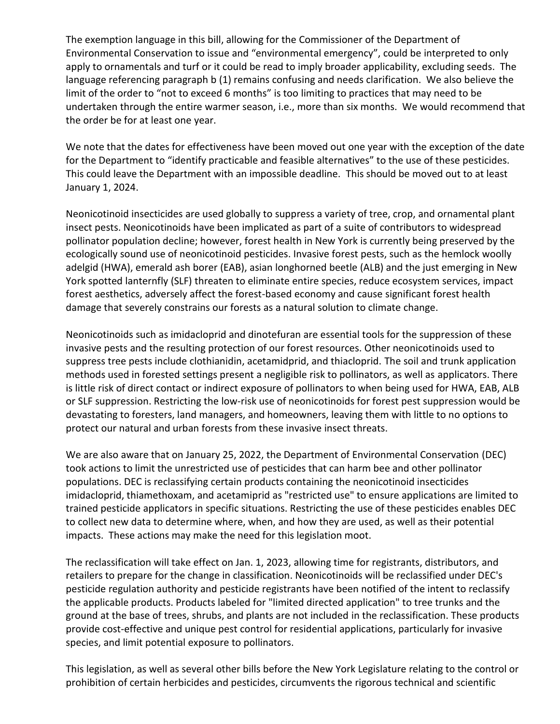The exemption language in this bill, allowing for the Commissioner of the Department of Environmental Conservation to issue and "environmental emergency", could be interpreted to only apply to ornamentals and turf or it could be read to imply broader applicability, excluding seeds. The language referencing paragraph b (1) remains confusing and needs clarification. We also believe the limit of the order to "not to exceed 6 months" is too limiting to practices that may need to be undertaken through the entire warmer season, i.e., more than six months. We would recommend that the order be for at least one year.

We note that the dates for effectiveness have been moved out one year with the exception of the date for the Department to "identify practicable and feasible alternatives" to the use of these pesticides. This could leave the Department with an impossible deadline. This should be moved out to at least January 1, 2024.

Neonicotinoid insecticides are used globally to suppress a variety of tree, crop, and ornamental plant insect pests. Neonicotinoids have been implicated as part of a suite of contributors to widespread pollinator population decline; however, forest health in New York is currently being preserved by the ecologically sound use of neonicotinoid pesticides. Invasive forest pests, such as the hemlock woolly adelgid (HWA), emerald ash borer (EAB), asian longhorned beetle (ALB) and the just emerging in New York spotted lanternfly (SLF) threaten to eliminate entire species, reduce ecosystem services, impact forest aesthetics, adversely affect the forest-based economy and cause significant forest health damage that severely constrains our forests as a natural solution to climate change.

Neonicotinoids such as imidacloprid and dinotefuran are essential tools for the suppression of these invasive pests and the resulting protection of our forest resources. Other neonicotinoids used to suppress tree pests include clothianidin, acetamidprid, and thiacloprid. The soil and trunk application methods used in forested settings present a negligible risk to pollinators, as well as applicators. There is little risk of direct contact or indirect exposure of pollinators to when being used for HWA, EAB, ALB or SLF suppression. Restricting the low-risk use of neonicotinoids for forest pest suppression would be devastating to foresters, land managers, and homeowners, leaving them with little to no options to protect our natural and urban forests from these invasive insect threats.

We are also aware that on January 25, 2022, the Department of Environmental Conservation (DEC) took actions to limit the unrestricted use of pesticides that can harm bee and other pollinator populations. DEC is reclassifying certain products containing the neonicotinoid insecticides imidacloprid, thiamethoxam, and acetamiprid as "restricted use" to ensure applications are limited to trained pesticide applicators in specific situations. Restricting the use of these pesticides enables DEC to collect new data to determine where, when, and how they are used, as well as their potential impacts. These actions may make the need for this legislation moot.

The reclassification will take effect on Jan. 1, 2023, allowing time for registrants, distributors, and retailers to prepare for the change in classification. Neonicotinoids will be reclassified under DEC's pesticide regulation authority and pesticide registrants have been notified of the intent to reclassify the applicable products. Products labeled for "limited directed application" to tree trunks and the ground at the base of trees, shrubs, and plants are not included in the reclassification. These products provide cost-effective and unique pest control for residential applications, particularly for invasive species, and limit potential exposure to pollinators.

This legislation, as well as several other bills before the New York Legislature relating to the control or prohibition of certain herbicides and pesticides, circumvents the rigorous technical and scientific